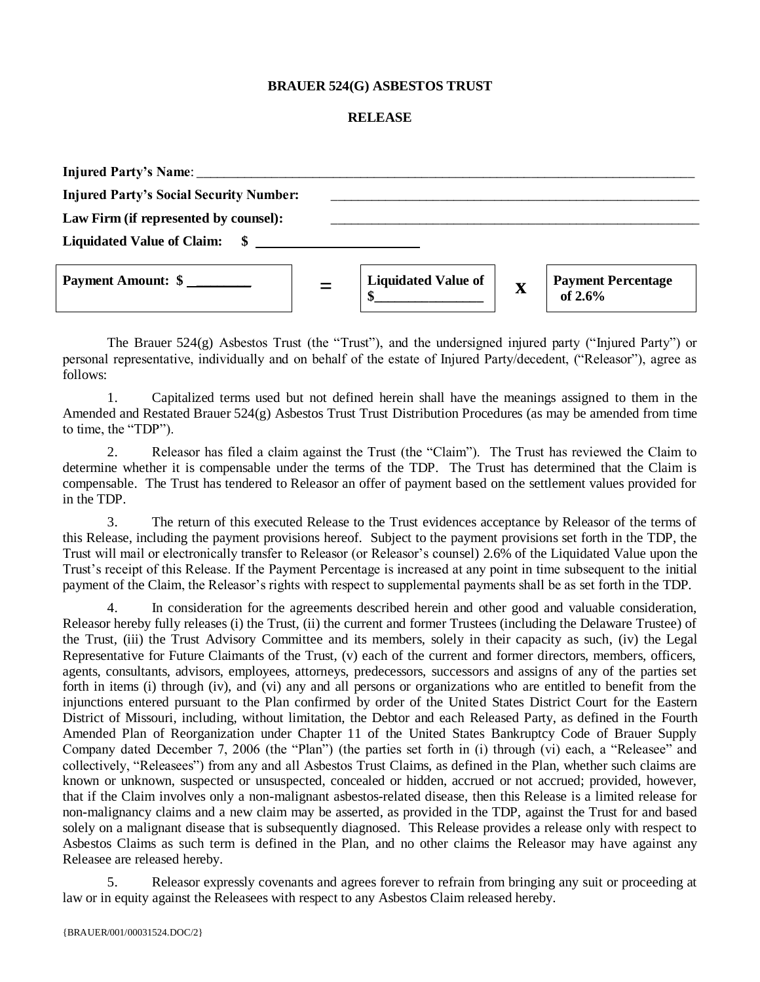## **BRAUER 524(G) ASBESTOS TRUST**

## **RELEASE**

| Injured Party's Name:                          |                                  |             |                                      |
|------------------------------------------------|----------------------------------|-------------|--------------------------------------|
| <b>Injured Party's Social Security Number:</b> |                                  |             |                                      |
| Law Firm (if represented by counsel):          |                                  |             |                                      |
| Liquidated Value of Claim: \$                  |                                  |             |                                      |
| Payment Amount: \$                             | <b>Liquidated Value of</b><br>\$ | $\mathbf X$ | <b>Payment Percentage</b><br>of 2.6% |

The Brauer  $524(g)$  Asbestos Trust (the "Trust"), and the undersigned injured party ("Injured Party") or personal representative, individually and on behalf of the estate of Injured Party/decedent, ("Releasor"), agree as follows:

1. Capitalized terms used but not defined herein shall have the meanings assigned to them in the Amended and Restated Brauer 524(g) Asbestos Trust Trust Distribution Procedures (as may be amended from time to time, the "TDP").

2. Releasor has filed a claim against the Trust (the "Claim"). The Trust has reviewed the Claim to determine whether it is compensable under the terms of the TDP. The Trust has determined that the Claim is compensable. The Trust has tendered to Releasor an offer of payment based on the settlement values provided for in the TDP.

3. The return of this executed Release to the Trust evidences acceptance by Releasor of the terms of this Release, including the payment provisions hereof. Subject to the payment provisions set forth in the TDP, the Trust will mail or electronically transfer to Releasor (or Releasor's counsel) 2.6% of the Liquidated Value upon the Trust's receipt of this Release. If the Payment Percentage is increased at any point in time subsequent to the initial payment of the Claim, the Releasor's rights with respect to supplemental payments shall be as set forth in the TDP.

4. In consideration for the agreements described herein and other good and valuable consideration, Releasor hereby fully releases (i) the Trust, (ii) the current and former Trustees (including the Delaware Trustee) of the Trust, (iii) the Trust Advisory Committee and its members, solely in their capacity as such, (iv) the Legal Representative for Future Claimants of the Trust, (v) each of the current and former directors, members, officers, agents, consultants, advisors, employees, attorneys, predecessors, successors and assigns of any of the parties set forth in items (i) through (iv), and (vi) any and all persons or organizations who are entitled to benefit from the injunctions entered pursuant to the Plan confirmed by order of the United States District Court for the Eastern District of Missouri, including, without limitation, the Debtor and each Released Party, as defined in the Fourth Amended Plan of Reorganization under Chapter 11 of the United States Bankruptcy Code of Brauer Supply Company dated December 7, 2006 (the "Plan") (the parties set forth in (i) through (vi) each, a "Releasee" and collectively, "Releasees") from any and all Asbestos Trust Claims, as defined in the Plan, whether such claims are known or unknown, suspected or unsuspected, concealed or hidden, accrued or not accrued; provided, however, that if the Claim involves only a non-malignant asbestos-related disease, then this Release is a limited release for non-malignancy claims and a new claim may be asserted, as provided in the TDP, against the Trust for and based solely on a malignant disease that is subsequently diagnosed. This Release provides a release only with respect to Asbestos Claims as such term is defined in the Plan, and no other claims the Releasor may have against any Releasee are released hereby.

5. Releasor expressly covenants and agrees forever to refrain from bringing any suit or proceeding at law or in equity against the Releasees with respect to any Asbestos Claim released hereby.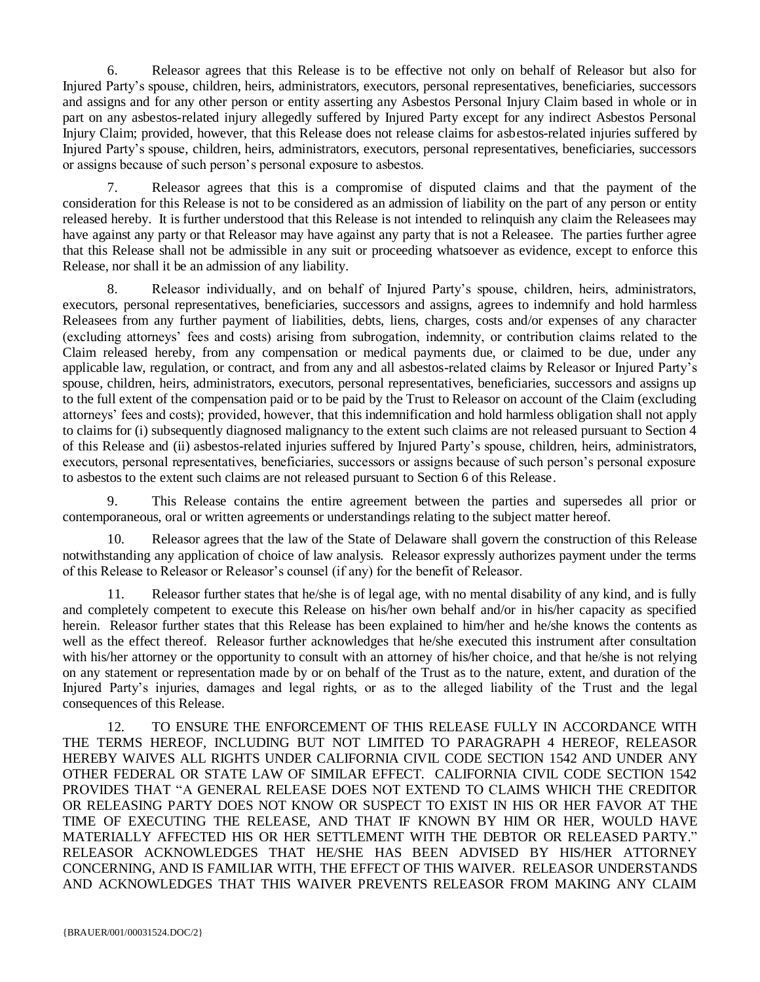6. Releasor agrees that this Release is to be effective not only on behalf of Releasor but also for Injured Party's spouse, children, heirs, administrators, executors, personal representatives, beneficiaries, successors and assigns and for any other person or entity asserting any Asbestos Personal Injury Claim based in whole or in part on any asbestos-related injury allegedly suffered by Injured Party except for any indirect Asbestos Personal Injury Claim; provided, however, that this Release does not release claims for asbestos-related injuries suffered by Injured Party's spouse, children, heirs, administrators, executors, personal representatives, beneficiaries, successors or assigns because of such person's personal exposure to asbestos.

7. Releasor agrees that this is a compromise of disputed claims and that the payment of the consideration for this Release is not to be considered as an admission of liability on the part of any person or entity released hereby. It is further understood that this Release is not intended to relinquish any claim the Releasees may have against any party or that Releasor may have against any party that is not a Releasee. The parties further agree that this Release shall not be admissible in any suit or proceeding whatsoever as evidence, except to enforce this Release, nor shall it be an admission of any liability.

8. Releasor individually, and on behalf of Injured Party's spouse, children, heirs, administrators, executors, personal representatives, beneficiaries, successors and assigns, agrees to indemnify and hold harmless Releasees from any further payment of liabilities, debts, liens, charges, costs and/or expenses of any character (excluding attorneys' fees and costs) arising from subrogation, indemnity, or contribution claims related to the Claim released hereby, from any compensation or medical payments due, or claimed to be due, under any applicable law, regulation, or contract, and from any and all asbestos-related claims by Releasor or Injured Party's spouse, children, heirs, administrators, executors, personal representatives, beneficiaries, successors and assigns up to the full extent of the compensation paid or to be paid by the Trust to Releasor on account of the Claim (excluding attorneys' fees and costs); provided, however, that this indemnification and hold harmless obligation shall not apply to claims for (i) subsequently diagnosed malignancy to the extent such claims are not released pursuant to Section 4 of this Release and (ii) asbestos-related injuries suffered by Injured Party's spouse, children, heirs, administrators, executors, personal representatives, beneficiaries, successors or assigns because of such person's personal exposure to asbestos to the extent such claims are not released pursuant to Section 6 of this Release.

9. This Release contains the entire agreement between the parties and supersedes all prior or contemporaneous, oral or written agreements or understandings relating to the subject matter hereof.

10. Releasor agrees that the law of the State of Delaware shall govern the construction of this Release notwithstanding any application of choice of law analysis. Releasor expressly authorizes payment under the terms of this Release to Releasor or Releasor's counsel (if any) for the benefit of Releasor.

11. Releasor further states that he/she is of legal age, with no mental disability of any kind, and is fully and completely competent to execute this Release on his/her own behalf and/or in his/her capacity as specified herein. Releasor further states that this Release has been explained to him/her and he/she knows the contents as well as the effect thereof. Releasor further acknowledges that he/she executed this instrument after consultation with his/her attorney or the opportunity to consult with an attorney of his/her choice, and that he/she is not relying on any statement or representation made by or on behalf of the Trust as to the nature, extent, and duration of the Injured Party's injuries, damages and legal rights, or as to the alleged liability of the Trust and the legal consequences of this Release.

12. TO ENSURE THE ENFORCEMENT OF THIS RELEASE FULLY IN ACCORDANCE WITH THE TERMS HEREOF, INCLUDING BUT NOT LIMITED TO PARAGRAPH 4 HEREOF, RELEASOR HEREBY WAIVES ALL RIGHTS UNDER CALIFORNIA CIVIL CODE SECTION 1542 AND UNDER ANY OTHER FEDERAL OR STATE LAW OF SIMILAR EFFECT. CALIFORNIA CIVIL CODE SECTION 1542 PROVIDES THAT "A GENERAL RELEASE DOES NOT EXTEND TO CLAIMS WHICH THE CREDITOR OR RELEASING PARTY DOES NOT KNOW OR SUSPECT TO EXIST IN HIS OR HER FAVOR AT THE TIME OF EXECUTING THE RELEASE, AND THAT IF KNOWN BY HIM OR HER, WOULD HAVE MATERIALLY AFFECTED HIS OR HER SETTLEMENT WITH THE DEBTOR OR RELEASED PARTY." RELEASOR ACKNOWLEDGES THAT HE/SHE HAS BEEN ADVISED BY HIS/HER ATTORNEY CONCERNING, AND IS FAMILIAR WITH, THE EFFECT OF THIS WAIVER. RELEASOR UNDERSTANDS AND ACKNOWLEDGES THAT THIS WAIVER PREVENTS RELEASOR FROM MAKING ANY CLAIM